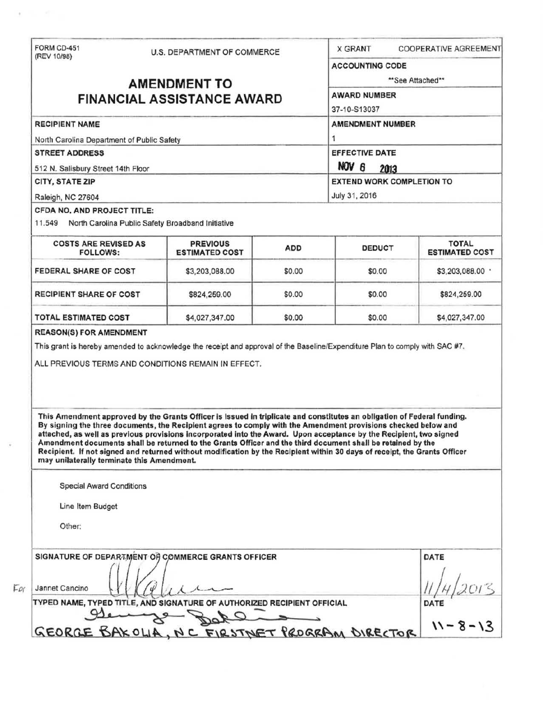| (REV 10/98)                                                                                                                                                                                                                                                                                                                                                                                                                                                                                                                                                                                                                                                                                                                                                                                                                                                                                                       | U.S. DEPARTMENT OF COMMERCE              |            | <b>X GRANT</b>                         | <b>COOPERATIVE AGREEMENT</b>          |  |
|-------------------------------------------------------------------------------------------------------------------------------------------------------------------------------------------------------------------------------------------------------------------------------------------------------------------------------------------------------------------------------------------------------------------------------------------------------------------------------------------------------------------------------------------------------------------------------------------------------------------------------------------------------------------------------------------------------------------------------------------------------------------------------------------------------------------------------------------------------------------------------------------------------------------|------------------------------------------|------------|----------------------------------------|---------------------------------------|--|
|                                                                                                                                                                                                                                                                                                                                                                                                                                                                                                                                                                                                                                                                                                                                                                                                                                                                                                                   |                                          |            | <b>ACCOUNTING CODE</b>                 |                                       |  |
| <b>AMENDMENT TO</b>                                                                                                                                                                                                                                                                                                                                                                                                                                                                                                                                                                                                                                                                                                                                                                                                                                                                                               |                                          |            | **See Attached**                       |                                       |  |
| <b>FINANCIAL ASSISTANCE AWARD</b>                                                                                                                                                                                                                                                                                                                                                                                                                                                                                                                                                                                                                                                                                                                                                                                                                                                                                 |                                          |            | <b>AWARD NUMBER</b>                    |                                       |  |
|                                                                                                                                                                                                                                                                                                                                                                                                                                                                                                                                                                                                                                                                                                                                                                                                                                                                                                                   |                                          |            | 37-10-S13037                           |                                       |  |
| <b>RECIPIENT NAME</b>                                                                                                                                                                                                                                                                                                                                                                                                                                                                                                                                                                                                                                                                                                                                                                                                                                                                                             |                                          |            | <b>AMENDMENT NUMBER</b>                |                                       |  |
| North Carolina Department of Public Safety                                                                                                                                                                                                                                                                                                                                                                                                                                                                                                                                                                                                                                                                                                                                                                                                                                                                        |                                          |            | 1                                      |                                       |  |
| <b>STREET ADDRESS</b><br>512 N. Salisbury Street 14th Floor                                                                                                                                                                                                                                                                                                                                                                                                                                                                                                                                                                                                                                                                                                                                                                                                                                                       |                                          |            | <b>EFFECTIVE DATE</b><br>NOV 6<br>2013 |                                       |  |
|                                                                                                                                                                                                                                                                                                                                                                                                                                                                                                                                                                                                                                                                                                                                                                                                                                                                                                                   |                                          |            |                                        |                                       |  |
| Raleigh, NC 27604                                                                                                                                                                                                                                                                                                                                                                                                                                                                                                                                                                                                                                                                                                                                                                                                                                                                                                 |                                          |            | July 31, 2016                          |                                       |  |
| CFDA NO. AND PROJECT TITLE:<br>11.549 North Carolina Public Safety Broadband Initiative                                                                                                                                                                                                                                                                                                                                                                                                                                                                                                                                                                                                                                                                                                                                                                                                                           |                                          |            |                                        |                                       |  |
| <b>COSTS ARE REVISED AS</b><br><b>FOLLOWS:</b>                                                                                                                                                                                                                                                                                                                                                                                                                                                                                                                                                                                                                                                                                                                                                                                                                                                                    | <b>PREVIOUS</b><br><b>ESTIMATED COST</b> | <b>ADD</b> | <b>DEDUCT</b>                          | <b>TOTAL</b><br><b>ESTIMATED COST</b> |  |
| FEDERAL SHARE OF COST                                                                                                                                                                                                                                                                                                                                                                                                                                                                                                                                                                                                                                                                                                                                                                                                                                                                                             | \$3,203,088.00                           | \$0.00     | \$0.00                                 | \$3,203,088.00 .                      |  |
| <b>RECIPIENT SHARE OF COST</b>                                                                                                                                                                                                                                                                                                                                                                                                                                                                                                                                                                                                                                                                                                                                                                                                                                                                                    | \$824,259.00                             | \$0.00     | \$0.00                                 | \$824,259.00                          |  |
|                                                                                                                                                                                                                                                                                                                                                                                                                                                                                                                                                                                                                                                                                                                                                                                                                                                                                                                   |                                          |            |                                        |                                       |  |
|                                                                                                                                                                                                                                                                                                                                                                                                                                                                                                                                                                                                                                                                                                                                                                                                                                                                                                                   | \$4,027,347.00                           | \$0.00     | \$0.00                                 | \$4,027,347.00                        |  |
| <b>TOTAL ESTIMATED COST</b><br><b>REASON(S) FOR AMENDMENT</b><br>This grant is hereby amended to acknowledge the receipt and approval of the Baseline/Expenditure Plan to comply with SAC #7.<br>ALL PREVIOUS TERMS AND CONDITIONS REMAIN IN EFFECT.<br>This Amendment approved by the Grants Officer is issued in triplicate and constitutes an obligation of Federal funding.<br>By signing the three documents, the Recipient agrees to comply with the Amendment provisions checked below and<br>attached, as well as previous provisions incorporated into the Award. Upon acceptance by the Recipient, two signed<br>Amendment documents shall be returned to the Grants Officer and the third document shall be retained by the<br>Recipient. If not signed and returned without modification by the Recipient within 30 days of receipt, the Grants Officer<br>may unilaterally terminate this Amendment. |                                          |            |                                        |                                       |  |
| <b>Special Award Conditions</b>                                                                                                                                                                                                                                                                                                                                                                                                                                                                                                                                                                                                                                                                                                                                                                                                                                                                                   |                                          |            |                                        |                                       |  |
| Line Item Budget                                                                                                                                                                                                                                                                                                                                                                                                                                                                                                                                                                                                                                                                                                                                                                                                                                                                                                  |                                          |            |                                        |                                       |  |
| Other:                                                                                                                                                                                                                                                                                                                                                                                                                                                                                                                                                                                                                                                                                                                                                                                                                                                                                                            |                                          |            |                                        |                                       |  |
| SIGNATURE OF DEPARTMENT OF COMMERCE GRANTS OFFICER                                                                                                                                                                                                                                                                                                                                                                                                                                                                                                                                                                                                                                                                                                                                                                                                                                                                |                                          |            |                                        | DATE                                  |  |
| Jannet Cancino                                                                                                                                                                                                                                                                                                                                                                                                                                                                                                                                                                                                                                                                                                                                                                                                                                                                                                    |                                          |            |                                        |                                       |  |
| TYPED NAME, TYPED TITLE, AND SIGNATURE OF AUTHORIZED RECIPIENT OFFICIAL                                                                                                                                                                                                                                                                                                                                                                                                                                                                                                                                                                                                                                                                                                                                                                                                                                           |                                          |            |                                        | DATE                                  |  |
|                                                                                                                                                                                                                                                                                                                                                                                                                                                                                                                                                                                                                                                                                                                                                                                                                                                                                                                   |                                          |            |                                        | $11 - 8 - 13$                         |  |

 $\mathbf{r} = \mathbf{r} + \mathbf{r}$